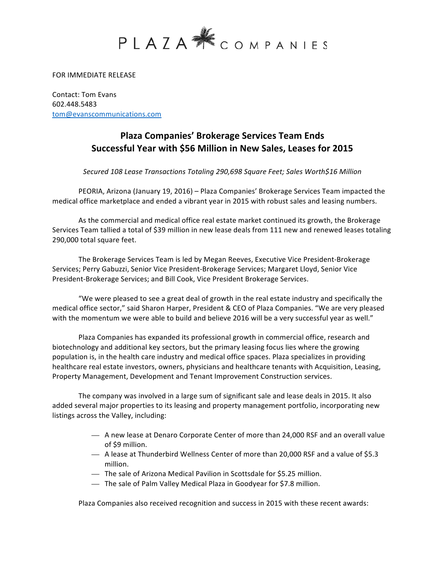

FOR IMMEDIATE RELEASE

Contact: Tom Evans 602.448.5483 tom@evanscommunications.com

## **Plaza Companies' Brokerage Services Team Ends** Successful Year with \$56 Million in New Sales, Leases for 2015

*Secured 108 Lease Transactions Totaling 290,698 Square Feet; Sales Worth\$16 Million*

PEORIA, Arizona (January 19, 2016) - Plaza Companies' Brokerage Services Team impacted the medical office marketplace and ended a vibrant year in 2015 with robust sales and leasing numbers.

As the commercial and medical office real estate market continued its growth, the Brokerage Services Team tallied a total of \$39 million in new lease deals from 111 new and renewed leases totaling 290,000 total square feet.

The Brokerage Services Team is led by Megan Reeves, Executive Vice President-Brokerage Services; Perry Gabuzzi, Senior Vice President-Brokerage Services; Margaret Lloyd, Senior Vice President-Brokerage Services; and Bill Cook, Vice President Brokerage Services.

"We were pleased to see a great deal of growth in the real estate industry and specifically the medical office sector," said Sharon Harper, President & CEO of Plaza Companies. "We are very pleased with the momentum we were able to build and believe 2016 will be a very successful year as well."

Plaza Companies has expanded its professional growth in commercial office, research and biotechnology and additional key sectors, but the primary leasing focus lies where the growing population is, in the health care industry and medical office spaces. Plaza specializes in providing healthcare real estate investors, owners, physicians and healthcare tenants with Acquisition, Leasing, Property Management, Development and Tenant Improvement Construction services.

The company was involved in a large sum of significant sale and lease deals in 2015. It also added several major properties to its leasing and property management portfolio, incorporating new listings across the Valley, including:

- A new lease at Denaro Corporate Center of more than 24,000 RSF and an overall value of \$9 million.
- A lease at Thunderbird Wellness Center of more than 20,000 RSF and a value of \$5.3 million.
- The sale of Arizona Medical Pavilion in Scottsdale for \$5.25 million.
- The sale of Palm Valley Medical Plaza in Goodyear for \$7.8 million.

Plaza Companies also received recognition and success in 2015 with these recent awards: